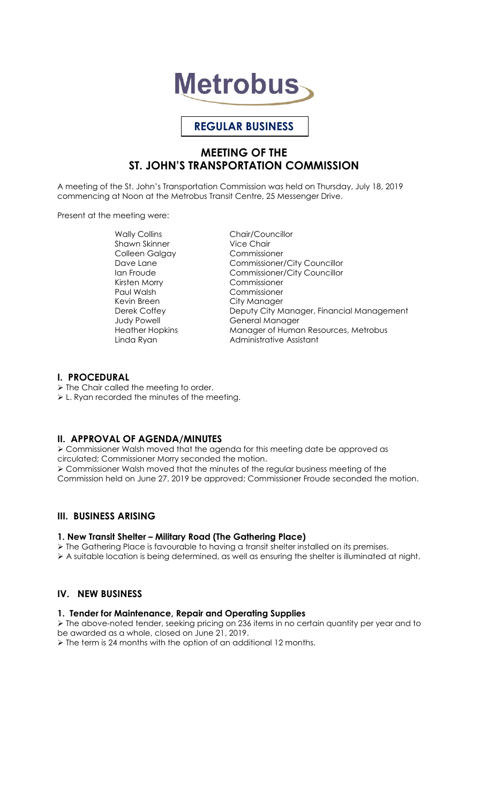# **Metrobus**

# **REGULAR BUSINESS**

# **MEETING OF THE ST. JOHN'S TRANSPORTATION COMMISSION**

A meeting of the St. John's Transportation Commission was held on Thursday, July 18, 2019 commencing at Noon at the Metrobus Transit Centre, 25 Messenger Drive.

Present at the meeting were:

Wally Collins Chair/Councillor<br>
Shawn Skinner<br>
Vice Chair Shawn Skinner Colleen Galgay Commissioner Kirsten Morry Paul Walsh Commissioner Kevin Breen City Manager

Dave Lane Commissioner/City Councillor Ian Froude Commissioner/City Councillor Deputy City Manager, Financial Management Judy Powell **General Manager** Heather Hopkins Manager of Human Resources, Metrobus Linda Ryan **Administrative Assistant** 

## **I. PROCEDURAL**

 $\triangleright$  The Chair called the meeting to order.

L. Ryan recorded the minutes of the meeting.

## **II. APPROVAL OF AGENDA/MINUTES**

 Commissioner Walsh moved that the agenda for this meeting date be approved as circulated; Commissioner Morry seconded the motion. Commissioner Walsh moved that the minutes of the regular business meeting of the Commission held on June 27, 2019 be approved; Commissioner Froude seconded the motion.

## **III. BUSINESS ARISING**

#### **1. New Transit Shelter – Military Road (The Gathering Place)**

 $\triangleright$  The Gathering Place is favourable to having a transit shelter installed on its premises.

 $\triangleright$  A suitable location is being determined, as well as ensuring the shelter is illuminated at night.

# **IV. NEW BUSINESS**

#### **1. Tender for Maintenance, Repair and Operating Supplies**

 The above-noted tender, seeking pricing on 236 items in no certain quantity per year and to be awarded as a whole, closed on June 21, 2019.

 $\triangleright$  The term is 24 months with the option of an additional 12 months.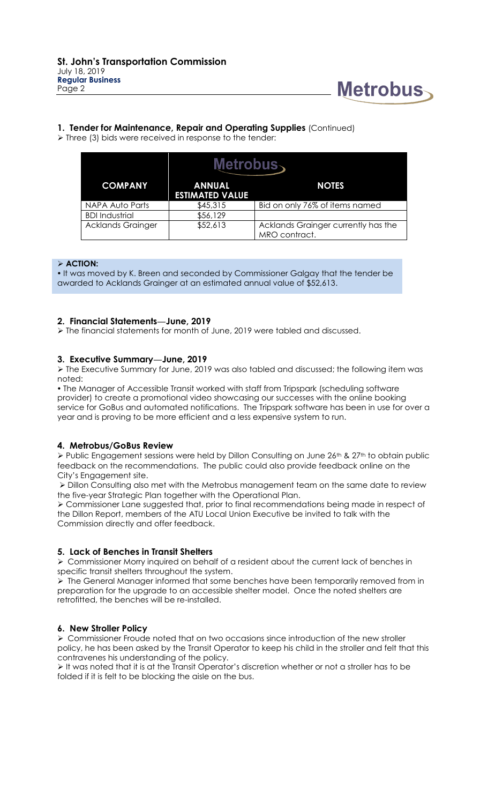

#### **1. Tender for Maintenance, Repair and Operating Supplies** (Continued)

 $\triangleright$  Three (3) bids were received in response to the tender:

| Metrobus <sub>`</sub>    |                                         |                                                      |
|--------------------------|-----------------------------------------|------------------------------------------------------|
| <b>COMPANY</b>           | <b>ANNUAL</b><br><b>ESTIMATED VALUE</b> | <b>NOTES</b>                                         |
| NAPA Auto Parts          | \$45,315                                | Bid on only 76% of items named                       |
| <b>BDI</b> Industrial    | \$56,129                                |                                                      |
| <b>Acklands Grainger</b> | \$52,613                                | Acklands Grainger currently has the<br>MRO contract. |

#### **ACTION:**

 It was moved by K. Breen and seconded by Commissioner Galgay that the tender be awarded to Acklands Grainger at an estimated annual value of \$52,613.

#### **2. Financial Statements—June, 2019**

The financial statements for month of June, 2019 were tabled and discussed.

#### **3. Executive Summary—June, 2019**

 The Executive Summary for June, 2019 was also tabled and discussed; the following item was noted:

 The Manager of Accessible Transit worked with staff from Tripspark (scheduling software provider) to create a promotional video showcasing our successes with the online booking service for GoBus and automated notifications. The Tripspark software has been in use for over a year and is proving to be more efficient and a less expensive system to run.

## **4. Metrobus/GoBus Review**

Public Engagement sessions were held by Dillon Consulting on June 26<sup>th</sup> & 27<sup>th</sup> to obtain public feedback on the recommendations. The public could also provide feedback online on the City's Engagement site.

 Dillon Consulting also met with the Metrobus management team on the same date to review the five-year Strategic Plan together with the Operational Plan.

 Commissioner Lane suggested that, prior to final recommendations being made in respect of the Dillon Report, members of the ATU Local Union Executive be invited to talk with the Commission directly and offer feedback.

#### **5. Lack of Benches in Transit Shelters**

 $\triangleright$  Commissioner Morry inquired on behalf of a resident about the current lack of benches in specific transit shelters throughout the system.

 $\triangleright$  The General Manager informed that some benches have been temporarily removed from in preparation for the upgrade to an accessible shelter model. Once the noted shelters are retrofitted, the benches will be re-installed.

#### **6. New Stroller Policy**

 Commissioner Froude noted that on two occasions since introduction of the new stroller policy, he has been asked by the Transit Operator to keep his child in the stroller and felt that this contravenes his understanding of the policy.

It was noted that it is at the Transit Operator's discretion whether or not a stroller has to be folded if it is felt to be blocking the aisle on the bus.